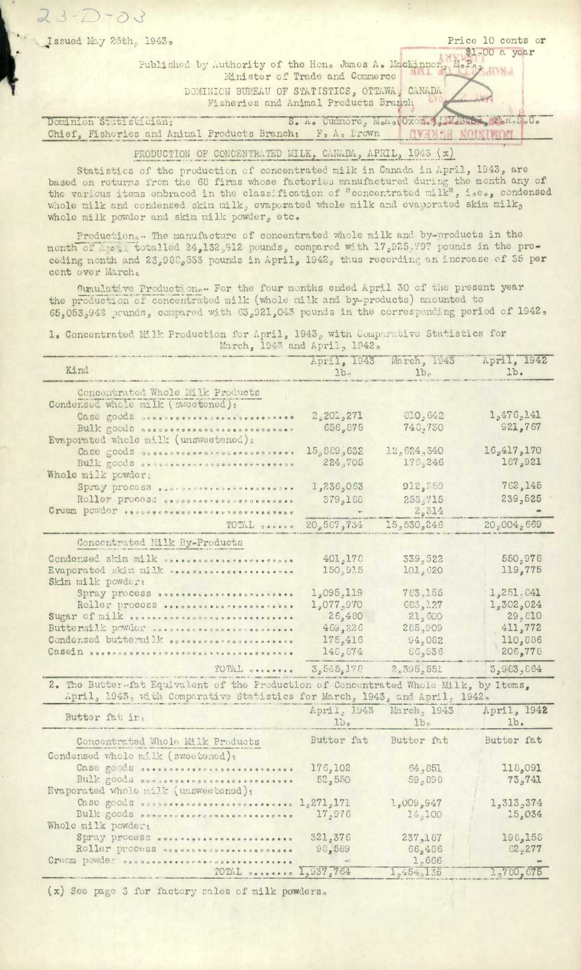| Price 10 cents or<br>Issued May 26th. 1943.                            |
|------------------------------------------------------------------------|
| \$1.00 a year                                                          |
| Fublished by Authority of the Hon. James A. Mackinner, M.P.,           |
| Minister of Trade and Commerce                                         |
| DOMINION BUPEAU OF STATISTICS, OTTAWA, CANADA                          |
| Fisheries and Animal Products Branch                                   |
|                                                                        |
| S. A. Cudmore, M.A. (Oxon, M.M.S. , F.R.S.C.<br>Dominion Statistician; |
| Chief, Fisheries and Animal Products Branch: F, A, Brown               |
|                                                                        |

 $23 - 7 -$ 

## PRODUCTION OF CONCENTRATED MILK, CANADA, APRIL, 1943 (x)

Statistics of the production of concentrated milk in Canada in April, 1943, are based on returns from the 68 firms whose factories manufactured during the month any of the various items enbraced in the classification of "concentrated milk", i.e., condensed whole milk and condensed skim milk, evaporated whole milk and evaporated skim milk, whole milk powder and skim milk powder, etc.

Production... The manufacture of concentrated whole milk and by-products in the month of the gli totalled 24,132,912 pounds, compared with 17,925,797 pounds in the preceding month and  $23_{\rho}980_{\rho}553$  pounds in April,  $1942_{\rho}$  thus recording an increase of 55 per cent over March.

Cumulative Production.- For the four months ended April 30 of the present year the production of concentrated milk (whole milk and by-products) anounted to 65,053,942 pounds, compared with 63,921,043 pounds in the corresponding period of 1942,

1. Concentrated Milk Production for April, 1943, with Comparacive Statistics for March, 1943 and April, 1942.

| Kind                                                                                                                                                                                                                           | 1b <sub>c</sub>       | April, 1943 March, 1943<br>1b <sub>e</sub> | April, 1942<br>1b. |
|--------------------------------------------------------------------------------------------------------------------------------------------------------------------------------------------------------------------------------|-----------------------|--------------------------------------------|--------------------|
| Concentrated Whole Milk Products<br>Condersed whole milk (sweetened):                                                                                                                                                          |                       |                                            |                    |
| Case goods unnecesses                                                                                                                                                                                                          | 2,201,271             | 810,642                                    | 1,476,141          |
| Bulk goods secondonacescoresessesses                                                                                                                                                                                           | 656,875               | 748,730                                    | <b>921,767</b>     |
| Evaporated whele milk (unsweetened):                                                                                                                                                                                           |                       |                                            |                    |
| Case goods aussinacesesconsusesonaless                                                                                                                                                                                         | 15,889,632            | 1.2, 624, 340                              | 16,417,170         |
| Bulk goods conversements assessesses                                                                                                                                                                                           | 224,705               | 17C <sub>0</sub> 246                       | 187,921            |
| Whole milk powder;                                                                                                                                                                                                             |                       |                                            |                    |
| Spray process                                                                                                                                                                                                                  | 1,236,063             | 912,759                                    | 762,145            |
| Roller process cessossesecosocoresces                                                                                                                                                                                          | 379,188               | 255,715                                    | 239,525            |
| Gream powder secondocescorescorescorescores                                                                                                                                                                                    |                       | 2,314                                      |                    |
| TOTAL cocres                                                                                                                                                                                                                   | 20,587,734            | 15,530,246                                 | 20,004,669         |
| Concentrated Milk By-Products                                                                                                                                                                                                  |                       |                                            |                    |
| Condensed shim milk specescosperecercospe                                                                                                                                                                                      | 401,178               | 339,522                                    | 550,978            |
| Evaporated skjm milk osesosososososososososos                                                                                                                                                                                  | 150,915               | 101, 620                                   | 119,775            |
| Skim milk powder:                                                                                                                                                                                                              |                       |                                            |                    |
| Spray process and ossessessessessessesses                                                                                                                                                                                      | 1,095,119             | 783, 155                                   | 1,251,641          |
| ROLLET process                                                                                                                                                                                                                 | 1,077,970<br>26,480   | 683,127                                    | 1,302,024          |
| Sugar of milk sosoocnosoconcoussessessesses<br>Butternilk powder assessessessessessesses                                                                                                                                       | 469,226               | 21,600<br>285,909                          | 29,010<br>411,772  |
| Condensed buttermill cossessessessessesses                                                                                                                                                                                     | 175,416               | 94,082                                     | 110,886            |
| Casein secondo de proposado de la presencia de la composado en la comunicación de la comunicación de la comunicación de la comunicación de la comunicación de la comunicación de la comunicación de la comunicación de la comu | 148,874               | 86,536                                     | 206,778            |
|                                                                                                                                                                                                                                |                       |                                            |                    |
| TOTAL                                                                                                                                                                                                                          | 3.545.178             | 2,395,551                                  | 3,983,864          |
| 2. The Butter-fat Equivalent of the Production of Concentrated Whole Milk, by Items,<br>April, 1943, with Comparative Statistics for March, 1943, and April, 1942.                                                             |                       |                                            |                    |
|                                                                                                                                                                                                                                | April, 1943           | March, 1943                                | April, 1942        |
| Butter fat in:                                                                                                                                                                                                                 | $\log$                | 1b <sub>o</sub>                            | 1b.                |
| Concentrated Whole Milk Products                                                                                                                                                                                               | Butter fat Butter fat |                                            | Butter fat         |
| Condensed whole milk (sweetened);                                                                                                                                                                                              |                       |                                            |                    |
| Case goods neesencerecconocercercanee                                                                                                                                                                                          | 176,102               | 64,851                                     | 118,091            |
| Bulk goods conveniencesconcesconesses<br>Evaporated whole milk (unsweetened);                                                                                                                                                  | 52,550                | 59,898                                     | 73,741             |
| Case goods occhossessessessessessesse 1,271,171                                                                                                                                                                                |                       | 1,009,947                                  | 1,313,374          |
| Bulk goods accepted crapped onessessed                                                                                                                                                                                         | 17,976                | 14,100                                     | 15,034             |
| Whole milk powder:                                                                                                                                                                                                             |                       |                                            |                    |
| Spray process                                                                                                                                                                                                                  | 321,376               | 237,187                                    | 198,158            |
| Roller process accessessessessesses                                                                                                                                                                                            | 98,589                | 66,486                                     | 62,277             |
| Cream powder cocossossesconscussessessesses                                                                                                                                                                                    |                       | 1,666                                      |                    |
| TOTAL  1,937,764                                                                                                                                                                                                               |                       | 1,454,135                                  | 1,780,675          |

(x) Seo page 3 for factory sales of milk powders.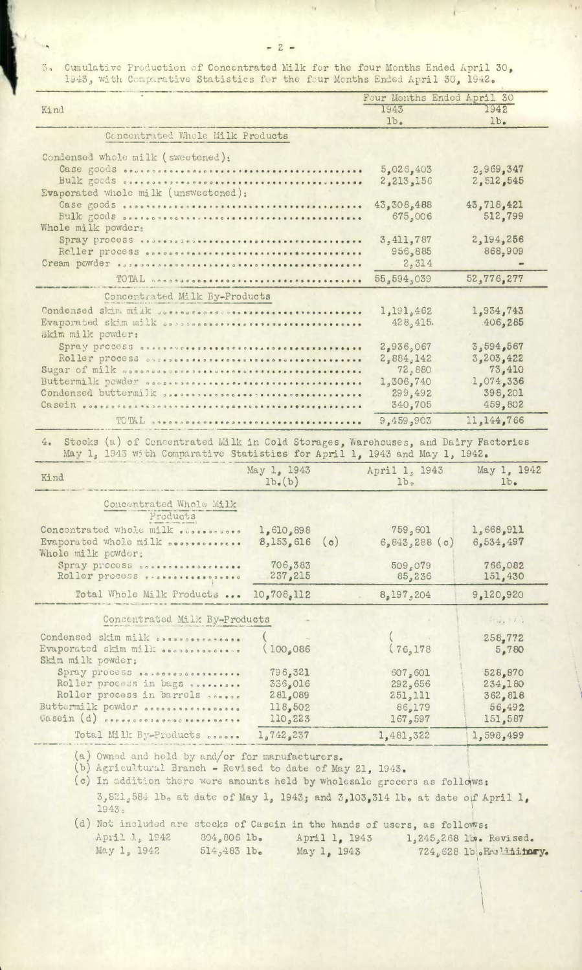$\mathfrak{F}_{\mathfrak{n}}$ Cunulative Production of Concentrated Milk for the four Months Ended April 30, 1943, with Comparative Statistics for the four Months Ended April 30, 1942.

|                                                                                                                                                                       |                                  | Four Months Ended April 30 |                    |                    |  |  |
|-----------------------------------------------------------------------------------------------------------------------------------------------------------------------|----------------------------------|----------------------------|--------------------|--------------------|--|--|
| Kind                                                                                                                                                                  |                                  |                            | 1943               | 1942               |  |  |
|                                                                                                                                                                       |                                  |                            | lb <sub>•</sub>    | lb.                |  |  |
|                                                                                                                                                                       | Concentrated Whole Milk Products |                            |                    |                    |  |  |
| Condensed whole milk (sweetened):                                                                                                                                     |                                  |                            |                    |                    |  |  |
|                                                                                                                                                                       |                                  |                            | 5,026,403          | 2,969,347          |  |  |
| Bulk goods osecososososooosessessessessessessessesses                                                                                                                 |                                  |                            | 2,213,156          | 2,512,545          |  |  |
| Evaporated whole milk (unsweetened):                                                                                                                                  |                                  |                            |                    |                    |  |  |
|                                                                                                                                                                       |                                  |                            | 43,308,488         | 43,718,421         |  |  |
| Bulk goods associations are concertations                                                                                                                             |                                  |                            | 675,006            | 512,799            |  |  |
| Whole milk powder:                                                                                                                                                    |                                  |                            | 3,411,787          | 2,194,256          |  |  |
|                                                                                                                                                                       |                                  |                            | 956,885            | 868,909            |  |  |
|                                                                                                                                                                       |                                  |                            | 2,314              |                    |  |  |
|                                                                                                                                                                       |                                  |                            | 55,594,039         | 52,776,277         |  |  |
|                                                                                                                                                                       |                                  |                            |                    |                    |  |  |
| Concentrated Milk By-Products                                                                                                                                         |                                  |                            |                    |                    |  |  |
| Condensed skim milk consorted assessment to the terms                                                                                                                 |                                  |                            | 1,191,462          | 1,934,743          |  |  |
| Evaporated skim milk onessessores                                                                                                                                     |                                  |                            | 428,415.           | 406,285            |  |  |
| Skim milk powder:<br>Spray process assessores as assesses as assesses as assesses                                                                                     |                                  |                            | 2,936,067          | 3,594,567          |  |  |
|                                                                                                                                                                       |                                  |                            | 2,884,142          | 3,203,422          |  |  |
| Sugar of milk accordos coopertitions                                                                                                                                  |                                  |                            | 72,880             | 73,410             |  |  |
| Buttermilk powder occasions                                                                                                                                           |                                  |                            | 1,306,740          | 1,074,336          |  |  |
| Condensed buttermilk SPORSSORSSORSSORSSORSSORSSORSSORSSORS                                                                                                            |                                  |                            | 299,492            | 398,201            |  |  |
|                                                                                                                                                                       |                                  |                            | 340.705            | 459,802            |  |  |
| TOTAL proposososaseo                                                                                                                                                  |                                  |                            | 9,459,903          | 11,144,766         |  |  |
| Stocks (a) of Concentrated Milk in Cold Storages, Warehouses, and Dairy Factories<br>4.<br>May 1, 1943 with Comparative Statistics for April 1, 1943 and May 1, 1942. |                                  |                            |                    |                    |  |  |
|                                                                                                                                                                       | May 1, 1943                      |                            | April 1, 1943      | May 1, 1942        |  |  |
| Kind                                                                                                                                                                  | $lb($ b $)$                      |                            | lb <sub>2</sub>    | 1b <sub>•</sub>    |  |  |
| Concentrated Whole Milk<br>Products                                                                                                                                   |                                  |                            |                    |                    |  |  |
| Concentrated whole milk                                                                                                                                               | 1,610,898                        |                            | 759,601            | 1,668,911          |  |  |
| Evaporated whole milk secondences.                                                                                                                                    | 8,153,616                        | (c)                        | 6,843,288(c)       | 6,534,497          |  |  |
| Whole milk powder:                                                                                                                                                    | 706,383                          |                            |                    |                    |  |  |
| Spray process occasional sections<br>Roller process researcheses                                                                                                      | 237,215                          |                            | 509,079<br>85,236  | 766,082<br>151,430 |  |  |
| Total Whole Milk Products                                                                                                                                             | 10,708,112                       |                            | 8,197,204          | 9,120,920          |  |  |
|                                                                                                                                                                       |                                  |                            |                    |                    |  |  |
| Concentrated Milk By-Products                                                                                                                                         |                                  |                            |                    | 1, 1, 1, 1         |  |  |
| Condensed skim milk secondecators.                                                                                                                                    |                                  |                            |                    | 258,772            |  |  |
| Evaporated skim milk<br>Skim milk powder;                                                                                                                             | (100, 086)                       |                            | (76, 178           | 5,780              |  |  |
| Spray process                                                                                                                                                         | 796,321                          |                            | 607,601            | 528,870            |  |  |
| Roller process in bags successes<br>Roller process in barrels second                                                                                                  | 336,016<br>281,089               |                            | 292,656<br>251,111 | 234,180            |  |  |
| Buttermilk powder occassessessesses                                                                                                                                   | 118,502                          |                            | 86,179             | 362,818<br>56,492  |  |  |
| Gasein (d) assessorancesessessess.                                                                                                                                    | 110,223                          |                            | 167,597            | 151,587            |  |  |
| Total Milk By-Products                                                                                                                                                | 1,742,237                        |                            | 1,481,322          | 1,598,499          |  |  |
|                                                                                                                                                                       |                                  |                            |                    |                    |  |  |

0vnod and held by and/or for manufacturers.

Agricultural Branch - Revised to date of May 21, 1943.

(c) In addition there were amounts held by wholesale grocers as follows:  $3,821,584$  lb. at date of May 1, 1943; and 3,103,314 lb. at date of April 1, 1943

(d) Not included are stocks of Casein in the hands of users, as follows: April 1, 1942 804,806 lb. April 1, 1943 1, 245,268 lb. Revised.<br>May 1, 1942 514,483 lb. May 1, 1943 724,628 lb. Revising May 1, 1942 514 <sup>0</sup> 463 lb. May 1 01943 724628 **1b0PJiry.**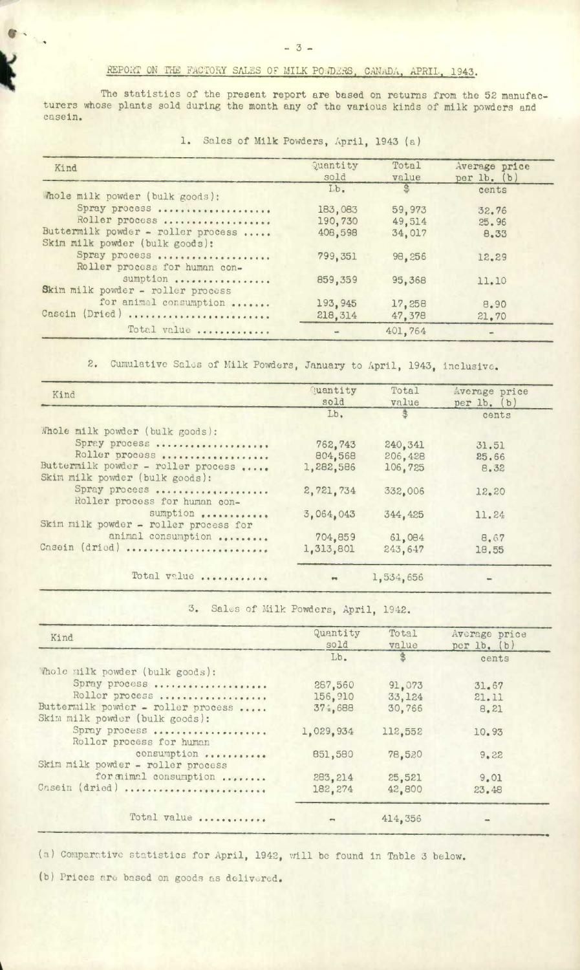## REPORT ON THE FACTORY SALES OF MILK PO.D.RS, CANADA, APRIL., 1943.

The statistics of the present report are based on returns from the 52 manufacturers whose plants sold during the month any of the various kinds of milk powders and casein.

| Kind                                                                 | Quantity<br>sold    | Total<br>value   | Average price<br>per lb. (b) |
|----------------------------------------------------------------------|---------------------|------------------|------------------------------|
| Mhole milk powder (bulk goods):                                      | I.b.                |                  | cents                        |
| Spray process                                                        | 183,083             | 59,973           | 32.76                        |
| Roller process                                                       | 190,730             | 49.514           | 25.96                        |
| Buttermilk powder - roller process<br>Skim milk powder (bulk goods): | 408,598             | 34,017           | 8.33                         |
| Spray process<br>Roller process for human con-                       | 799.351             | 98,256           | 12.29                        |
| sumption<br>Skim milk powder - roller process                        | 859,359             | 95,368           | 11.10                        |
| for animal consumption<br>Casein (Dried)                             | 193,945<br>218, 314 | 17,258<br>47.378 | 8.90<br>21.70                |
| Total value                                                          |                     | 401,764          |                              |

1. Sales of Milk Powders, April, 1943 (a)

2. Cumulative Sales of Milk Powders, January to April, 1943, inclusive.

| Kind                                                                 | Quantity<br>sold | Total<br>value | Average price<br>per $lb.$ (b) |
|----------------------------------------------------------------------|------------------|----------------|--------------------------------|
|                                                                      | Lb.              | 悲              | cents                          |
| Whole milk powder (bulk goods):                                      |                  |                |                                |
| Spray process                                                        | 762.743          | 240, 341       | 31.51                          |
| Roller process                                                       | 804,568          | 206,428        | 25,66                          |
| Buttermilk powder - roller process<br>Skim milk powder (bulk goods): | 1,282,586        | 106,725        | 8.32                           |
| Spray process<br>Roller process for human con-                       | 2,721,734        | 332,006        | 12.20                          |
| sumption<br>Skim milk powder - roller process for                    | 3,064,043        | 344, 425       | 11.24                          |
| animal consumption                                                   | 704,859          | 61,084         | 8.67                           |
| Casein (dried)                                                       | 1,313,801        | 243,647        | 18,55                          |
| Total value                                                          |                  | 1,534,656      |                                |

3. Sales of Milk Powders, April, 1942.

| Kind                                                                 | Quantity<br>sold | Total<br>value | Average price<br>per 1b. (b) |
|----------------------------------------------------------------------|------------------|----------------|------------------------------|
|                                                                      | Lb.              | $\frac{4}{3}$  | cents                        |
| 'Mole milk powder (bulk goods):                                      |                  |                |                              |
| Spray process                                                        | 287.560          | 91.073         | 31.67                        |
| Roller process                                                       | 156,910          | 33,124         | 21.11                        |
| Buttermilk powder - roller process<br>Skim milk powder (bulk goods): | 374,688          | 30,766         | 8.21                         |
| Spray process<br>Roller process for human                            | 1,029,934        | 112,552        | 10.93                        |
| consumption<br>Skim milk powder - roller process                     | 851,580          | 78,520         | 9.22                         |
| for mimal consumption                                                | 283, 214         | 25,521         | 9.01                         |
| Casein (dried)                                                       | 182,274          | 42,800         | 23.48                        |
| Total value                                                          |                  | 414,356        |                              |

p

(a) Comparative statistics for April, 1942, will be found in Table 3 below.

(b) Prices are based on goods as delivered.